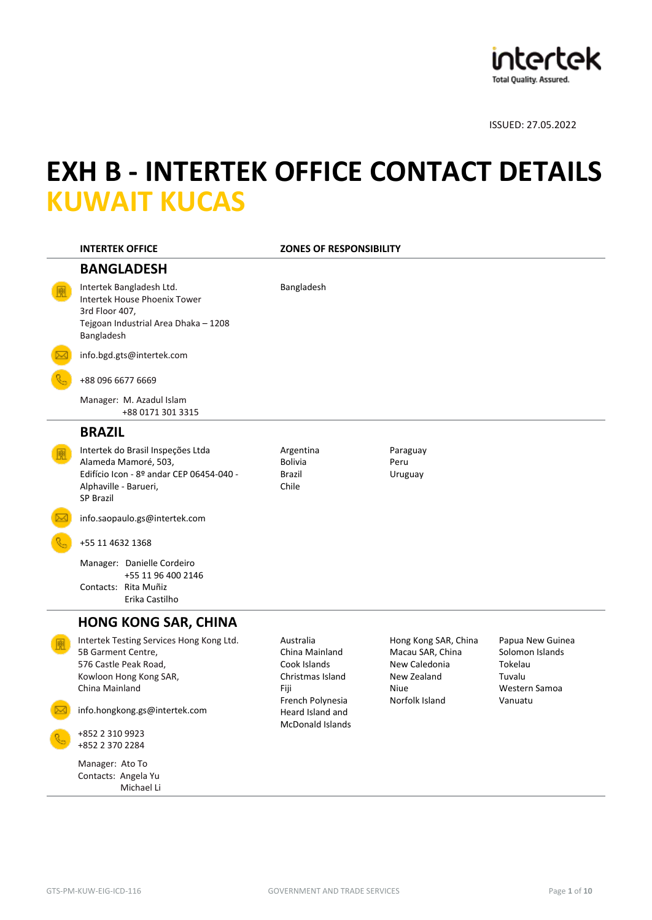

# **EXH B - INTERTEK OFFICE CONTACT DETAILS KUWAIT KUCAS**

| <b>INTERTEK OFFICE</b>                                                                                                                             | <b>ZONES OF RESPONSIBILITY</b>                                          |                                                                                         |                                                                           |
|----------------------------------------------------------------------------------------------------------------------------------------------------|-------------------------------------------------------------------------|-----------------------------------------------------------------------------------------|---------------------------------------------------------------------------|
| <b>BANGLADESH</b>                                                                                                                                  |                                                                         |                                                                                         |                                                                           |
| Intertek Bangladesh Ltd.<br>Intertek House Phoenix Tower<br>3rd Floor 407,<br>Tejgoan Industrial Area Dhaka - 1208<br>Bangladesh                   | Bangladesh                                                              |                                                                                         |                                                                           |
| info.bgd.gts@intertek.com                                                                                                                          |                                                                         |                                                                                         |                                                                           |
| +88 096 6677 6669                                                                                                                                  |                                                                         |                                                                                         |                                                                           |
| Manager: M. Azadul Islam<br>+88 0171 301 3315                                                                                                      |                                                                         |                                                                                         |                                                                           |
| <b>BRAZIL</b>                                                                                                                                      |                                                                         |                                                                                         |                                                                           |
| Intertek do Brasil Inspeções Ltda<br>Alameda Mamoré, 503,<br>Edifício Icon - 8º andar CEP 06454-040 -<br>Alphaville - Barueri,<br><b>SP Brazil</b> | Argentina<br><b>Bolivia</b><br><b>Brazil</b><br>Chile                   | Paraguay<br>Peru<br>Uruguay                                                             |                                                                           |
| info.saopaulo.gs@intertek.com                                                                                                                      |                                                                         |                                                                                         |                                                                           |
| +55 11 4632 1368                                                                                                                                   |                                                                         |                                                                                         |                                                                           |
| Manager: Danielle Cordeiro<br>+55 11 96 400 2146<br>Contacts: Rita Muñiz<br>Erika Castilho                                                         |                                                                         |                                                                                         |                                                                           |
| <b>HONG KONG SAR, CHINA</b>                                                                                                                        |                                                                         |                                                                                         |                                                                           |
| Intertek Testing Services Hong Kong Ltd.<br>5B Garment Centre,<br>576 Castle Peak Road,<br>Kowloon Hong Kong SAR,<br>China Mainland                | Australia<br>China Mainland<br>Cook Islands<br>Christmas Island<br>Fiji | Hong Kong SAR, China<br>Macau SAR, China<br>New Caledonia<br>New Zealand<br><b>Niue</b> | Papua New Guinea<br>Solomon Islands<br>Tokelau<br>Tuvalu<br>Western Samoa |
| info.hongkong.gs@intertek.com                                                                                                                      | French Polynesia<br>Heard Island and                                    | Norfolk Island                                                                          | Vanuatu                                                                   |
| +852 2 310 9923<br>+852 2 370 2284                                                                                                                 | <b>McDonald Islands</b>                                                 |                                                                                         |                                                                           |
| Manager: Ato To<br>Contacts: Angela Yu<br>Michael Li                                                                                               |                                                                         |                                                                                         |                                                                           |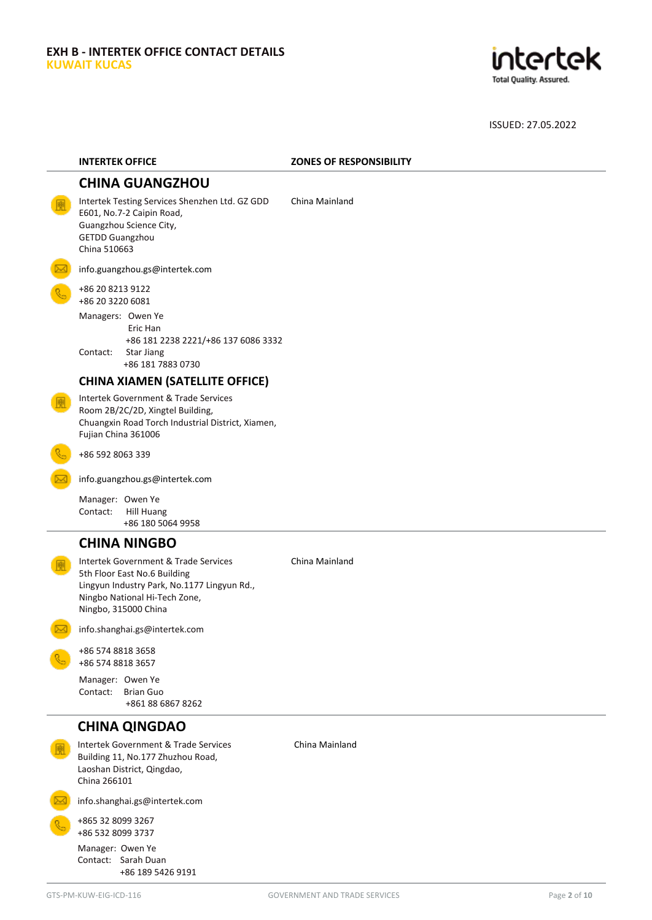

| <b>INTERTEK OFFICE</b>                                                                                                                                                       | <b>ZONES OF RESPONSIBILITY</b> |
|------------------------------------------------------------------------------------------------------------------------------------------------------------------------------|--------------------------------|
| <b>CHINA GUANGZHOU</b>                                                                                                                                                       |                                |
| Intertek Testing Services Shenzhen Ltd. GZ GDD<br>E601, No.7-2 Caipin Road,<br>Guangzhou Science City,<br><b>GETDD Guangzhou</b><br>China 510663                             | China Mainland                 |
| info.guangzhou.gs@intertek.com                                                                                                                                               |                                |
| +86 20 8213 9122<br>+86 20 3220 6081                                                                                                                                         |                                |
| Managers: Owen Ye<br>Eric Han<br>+86 181 2238 2221/+86 137 6086 3332<br>Contact:<br><b>Star Jiang</b><br>+86 181 7883 0730                                                   |                                |
| <b>CHINA XIAMEN (SATELLITE OFFICE)</b>                                                                                                                                       |                                |
| Intertek Government & Trade Services<br>Room 2B/2C/2D, Xingtel Building,<br>Chuangxin Road Torch Industrial District, Xiamen,<br>Fujian China 361006                         |                                |
| +86 592 8063 339                                                                                                                                                             |                                |
| info.guangzhou.gs@intertek.com                                                                                                                                               |                                |
| Manager: Owen Ye<br>Contact:<br><b>Hill Huang</b><br>+86 180 5064 9958                                                                                                       |                                |
| <b>CHINA NINGBO</b>                                                                                                                                                          |                                |
| Intertek Government & Trade Services<br>5th Floor East No.6 Building<br>Lingyun Industry Park, No.1177 Lingyun Rd.,<br>Ningbo National Hi-Tech Zone,<br>Ningbo, 315000 China | China Mainland                 |
| info.shanghai.gs@intertek.com                                                                                                                                                |                                |
| +86 574 8818 3658<br>+86 574 8818 3657                                                                                                                                       |                                |
| Manager: Owen Ye<br>Contact:<br><b>Brian Guo</b><br>+861 88 6867 8262                                                                                                        |                                |
| <b>CHINA QINGDAO</b>                                                                                                                                                         |                                |
| Intertek Government & Trade Services<br>Building 11, No.177 Zhuzhou Road,<br>Laoshan District, Qingdao,<br>China 266101                                                      | China Mainland                 |
| info.shanghai.gs@intertek.com                                                                                                                                                |                                |
| +865 32 8099 3267<br>+86 532 8099 3737                                                                                                                                       |                                |
| Manager: Owen Ye<br>Contact: Sarah Duan<br>+86 189 5426 9191                                                                                                                 |                                |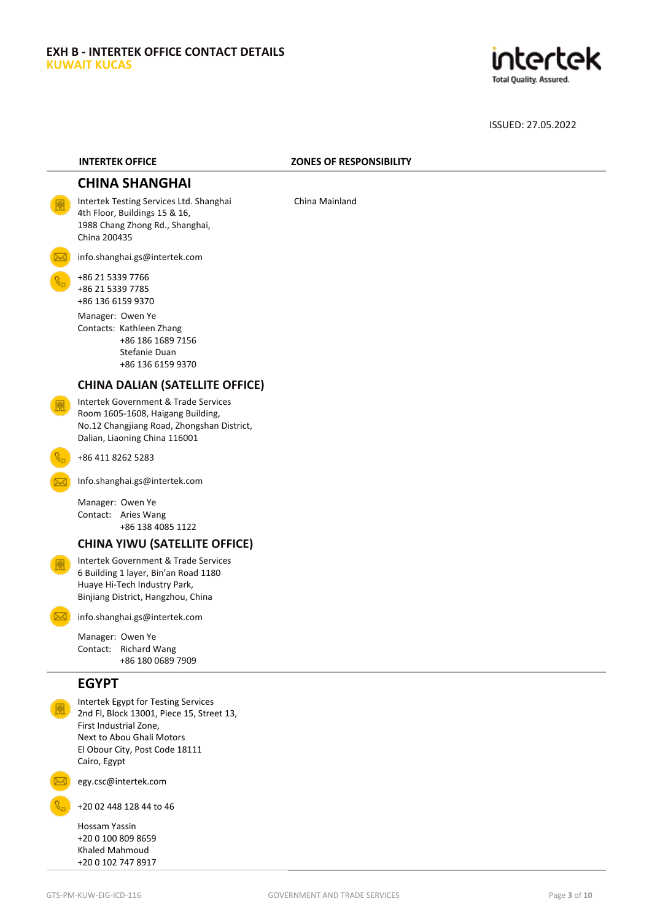

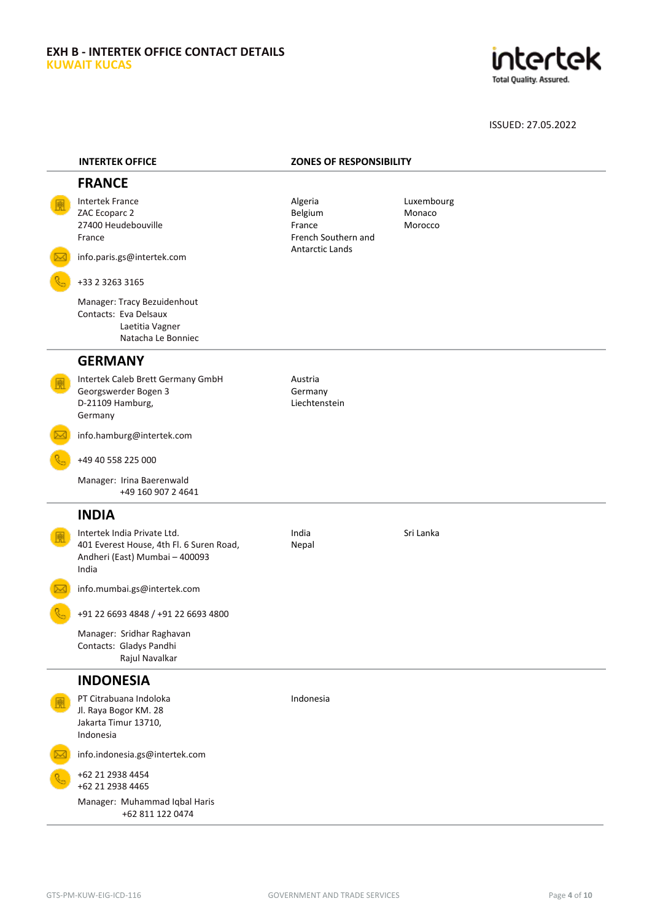### **EXH B - INTERTEK OFFICE CONTACT DETAILS KUWAIT KUCAS**



| <b>INTERTEK OFFICE</b>                                                                                             | <b>ZONES OF RESPONSIBILITY</b>                      |                                 |
|--------------------------------------------------------------------------------------------------------------------|-----------------------------------------------------|---------------------------------|
| <b>FRANCE</b>                                                                                                      |                                                     |                                 |
| <b>Intertek France</b><br>ZAC Ecoparc 2<br>27400 Heudebouville<br>France                                           | Algeria<br>Belgium<br>France<br>French Southern and | Luxembourg<br>Monaco<br>Morocco |
| info.paris.gs@intertek.com                                                                                         | <b>Antarctic Lands</b>                              |                                 |
| +33 2 3263 3165                                                                                                    |                                                     |                                 |
| Manager: Tracy Bezuidenhout<br>Contacts: Eva Delsaux<br>Laetitia Vagner<br>Natacha Le Bonniec                      |                                                     |                                 |
| <b>GERMANY</b>                                                                                                     |                                                     |                                 |
| Intertek Caleb Brett Germany GmbH<br>Georgswerder Bogen 3<br>D-21109 Hamburg,<br>Germany                           | Austria<br>Germany<br>Liechtenstein                 |                                 |
| info.hamburg@intertek.com                                                                                          |                                                     |                                 |
| +49 40 558 225 000                                                                                                 |                                                     |                                 |
| Manager: Irina Baerenwald<br>+49 160 907 2 4641                                                                    |                                                     |                                 |
| <b>INDIA</b>                                                                                                       |                                                     |                                 |
| Intertek India Private Ltd.<br>401 Everest House, 4th Fl. 6 Suren Road,<br>Andheri (East) Mumbai - 400093<br>India | India<br>Nepal                                      | Sri Lanka                       |
| info.mumbai.gs@intertek.com                                                                                        |                                                     |                                 |
| +91 22 6693 4848 / +91 22 6693 4800                                                                                |                                                     |                                 |
| Manager: Sridhar Raghavan<br>Contacts: Gladys Pandhi<br>Rajul Navalkar                                             |                                                     |                                 |
| <b>INDONESIA</b>                                                                                                   |                                                     |                                 |
| PT Citrabuana Indoloka<br>Jl. Raya Bogor KM. 28<br>Jakarta Timur 13710,<br>Indonesia                               | Indonesia                                           |                                 |
| info.indonesia.gs@intertek.com                                                                                     |                                                     |                                 |
| +62 21 2938 4454<br>+62 21 2938 4465                                                                               |                                                     |                                 |
| Manager: Muhammad Iqbal Haris<br>+62 811 122 0474                                                                  |                                                     |                                 |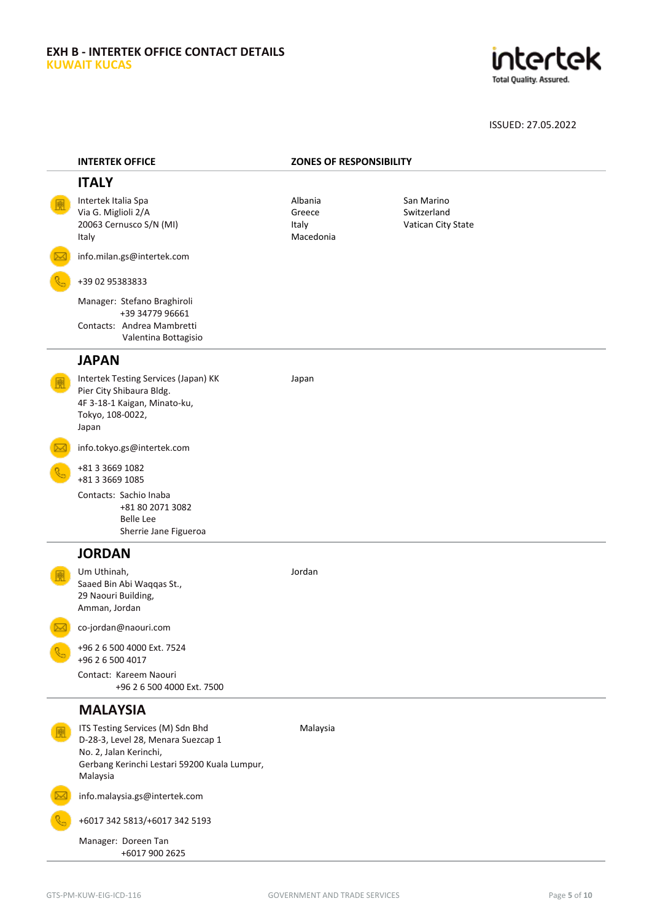### **EXH B - INTERTEK OFFICE CONTACT DETAILS KUWAIT KUCAS**



| <b>INTERTEK OFFICE</b>                                                                                                                                       | <b>ZONES OF RESPONSIBILITY</b>          |                                                 |  |
|--------------------------------------------------------------------------------------------------------------------------------------------------------------|-----------------------------------------|-------------------------------------------------|--|
| <b>ITALY</b>                                                                                                                                                 |                                         |                                                 |  |
| Intertek Italia Spa<br>Via G. Miglioli 2/A<br>20063 Cernusco S/N (MI)<br>Italy                                                                               | Albania<br>Greece<br>Italy<br>Macedonia | San Marino<br>Switzerland<br>Vatican City State |  |
| info.milan.gs@intertek.com                                                                                                                                   |                                         |                                                 |  |
| +39 02 95383833                                                                                                                                              |                                         |                                                 |  |
| Manager: Stefano Braghiroli<br>+39 34779 96661<br>Contacts: Andrea Mambretti<br>Valentina Bottagisio                                                         |                                         |                                                 |  |
| <b>JAPAN</b>                                                                                                                                                 |                                         |                                                 |  |
| Intertek Testing Services (Japan) KK<br>Pier City Shibaura Bldg.<br>4F 3-18-1 Kaigan, Minato-ku,<br>Tokyo, 108-0022,<br>Japan                                | Japan                                   |                                                 |  |
| info.tokyo.gs@intertek.com                                                                                                                                   |                                         |                                                 |  |
| +81 3 3669 1082<br>+81 3 3 669 1085                                                                                                                          |                                         |                                                 |  |
| Contacts: Sachio Inaba<br>+81 80 2071 3082<br><b>Belle Lee</b><br>Sherrie Jane Figueroa                                                                      |                                         |                                                 |  |
| <b>JORDAN</b>                                                                                                                                                |                                         |                                                 |  |
| Um Uthinah,<br>Saaed Bin Abi Waqqas St.,<br>29 Naouri Building,<br>Amman, Jordan                                                                             | Jordan                                  |                                                 |  |
| co-jordan@naouri.com                                                                                                                                         |                                         |                                                 |  |
| +96 2 6 500 4000 Ext. 7524<br>+96 2 6 500 4017                                                                                                               |                                         |                                                 |  |
| Contact: Kareem Naouri<br>+96 2 6 500 4000 Ext. 7500                                                                                                         |                                         |                                                 |  |
| <b>MALAYSIA</b>                                                                                                                                              |                                         |                                                 |  |
| ITS Testing Services (M) Sdn Bhd<br>D-28-3, Level 28, Menara Suezcap 1<br>No. 2, Jalan Kerinchi,<br>Gerbang Kerinchi Lestari 59200 Kuala Lumpur,<br>Malaysia | Malaysia                                |                                                 |  |
| info.malaysia.gs@intertek.com                                                                                                                                |                                         |                                                 |  |
| +6017 342 5813/+6017 342 5193                                                                                                                                |                                         |                                                 |  |
| Manager: Doreen Tan<br>+6017 900 2625                                                                                                                        |                                         |                                                 |  |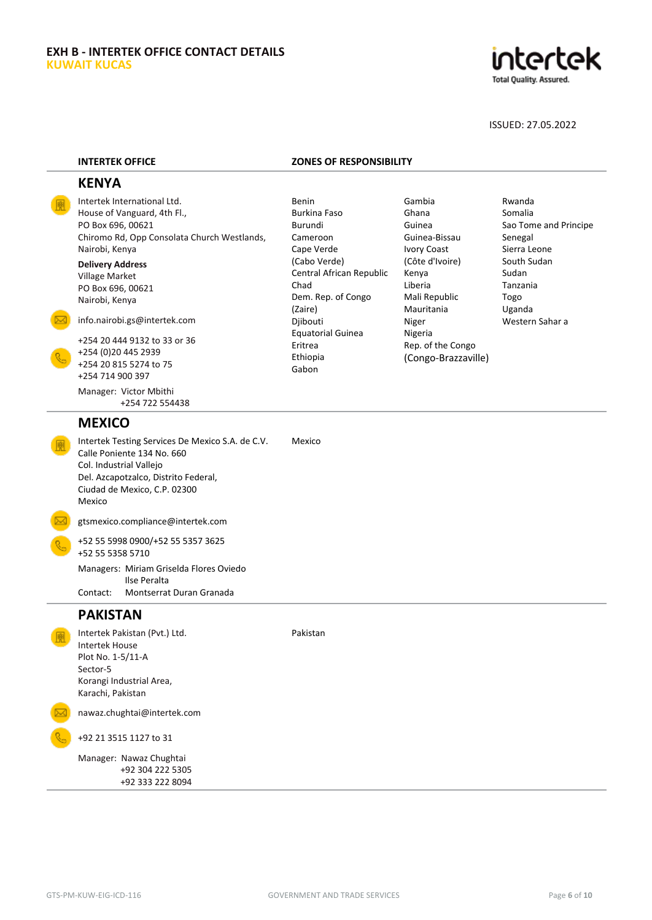

Sao Tome and Principe

ISSUED: 27.05.2022

Rwanda Somalia

Senegal Sierra Leone South Sudan Sudan Tanzania Togo Uganda Western Sahar a

#### **INTERTEK OFFICE ZONES OF RESPONSIBILITY**

Gambia Ghana Guinea Guinea-Bissau Ivory Coast (Côte d'Ivoire) Kenya Liberia Mali Republic Mauritania Niger Nigeria

Rep. of the Congo (Congo-Brazzaville)

Central African Republic

Dem. Rep. of Congo

Equatorial Guinea

Benin Burkina Faso Burundi Cameroon Cape Verde (Cabo Verde)

Chad

(Zaire) Djibouti

Eritrea Ethiopia Gabon

Pakistan

#### **KENYA**

Intertek International Ltd. House of Vanguard, 4th Fl., PO Box 696, 00621 Chiromo Rd, Opp Consolata Church Westlands, Nairobi, Kenya

**Delivery Address** Village Market PO Box 696, 00621 Nairobi, Kenya

[info.nairobi.gs@intertek.com](mailto:info.nairobi.gs@intertek.com)

+254 20 444 9132 to 33 or 36 +254 (0)20 445 2939 +254 20 815 5274 to 75 +254 714 900 397

Manager: Victor Mbithi +254 722 554438

#### **MEXICO**

Intertek Testing Services De Mexico S.A. de C.V. Calle Poniente 134 No. 660 Col. Industrial Vallejo Del. Azcapotzalco, Distrito Federal, Ciudad de Mexico, C.P. 02300 Mexico Mexico

gtsmexico.compliance@intertek.com

+52 55 5998 0900/+52 55 5357 3625 +52 55 5358 5710 Managers: Miriam Griselda Flores Oviedo

Ilse Peralta<br>Contact: Montserrat Montserrat Duran Granada

# **PAKISTAN**

Intertek Pakistan (Pvt.) Ltd. Intertek House Plot No. 1-5/11-A Sector-5 Korangi Industrial Area, Karachi, Pakistan

nawaz.chughtai@intertek.com

+92 21 3515 1127 to 31

Manager: Nawaz Chughtai +92 304 222 5305 +92 333 222 8094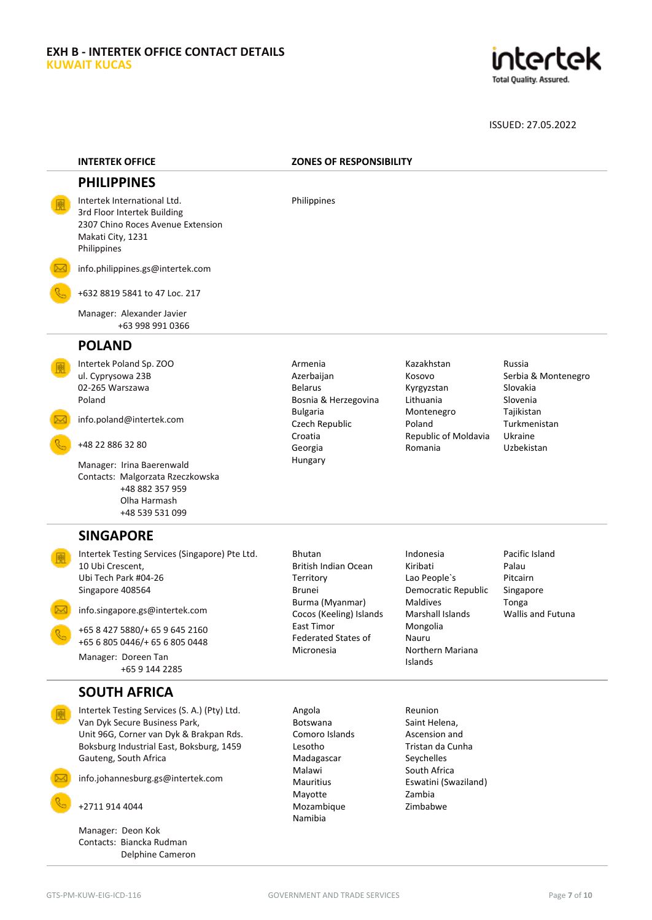

| <b>INTERTEK OFFICE</b>                                                                                                                                                                                                                                        |                                                                                                                                                                                           | <b>ZONES OF RESPONSIBILITY</b>                                                                                                                          |                                                                                                              |  |
|---------------------------------------------------------------------------------------------------------------------------------------------------------------------------------------------------------------------------------------------------------------|-------------------------------------------------------------------------------------------------------------------------------------------------------------------------------------------|---------------------------------------------------------------------------------------------------------------------------------------------------------|--------------------------------------------------------------------------------------------------------------|--|
| <b>PHILIPPINES</b>                                                                                                                                                                                                                                            |                                                                                                                                                                                           |                                                                                                                                                         |                                                                                                              |  |
| Intertek International Ltd.<br>3rd Floor Intertek Building<br>2307 Chino Roces Avenue Extension<br>Makati City, 1231<br>Philippines                                                                                                                           | Philippines                                                                                                                                                                               |                                                                                                                                                         |                                                                                                              |  |
| info.philippines.gs@intertek.com                                                                                                                                                                                                                              |                                                                                                                                                                                           |                                                                                                                                                         |                                                                                                              |  |
| +632 8819 5841 to 47 Loc. 217                                                                                                                                                                                                                                 |                                                                                                                                                                                           |                                                                                                                                                         |                                                                                                              |  |
| Manager: Alexander Javier<br>+63 998 991 0366                                                                                                                                                                                                                 |                                                                                                                                                                                           |                                                                                                                                                         |                                                                                                              |  |
| <b>POLAND</b>                                                                                                                                                                                                                                                 |                                                                                                                                                                                           |                                                                                                                                                         |                                                                                                              |  |
| Intertek Poland Sp. ZOO<br>ul. Cyprysowa 23B<br>02-265 Warszawa<br>Poland<br>info.poland@intertek.com<br>+48 22 886 32 80<br>Manager: Irina Baerenwald<br>Contacts: Malgorzata Rzeczkowska<br>+48 882 357 959<br>Olha Harmash<br>+48 539 531 099              | Armenia<br>Azerbaijan<br><b>Belarus</b><br>Bosnia & Herzegovina<br><b>Bulgaria</b><br>Czech Republic<br>Croatia<br>Georgia<br>Hungary                                                     | Kazakhstan<br>Kosovo<br>Kyrgyzstan<br>Lithuania<br>Montenegro<br>Poland<br>Republic of Moldavia<br>Romania                                              | Russia<br>Serbia & Montenegro<br>Slovakia<br>Slovenia<br>Tajikistan<br>Turkmenistan<br>Ukraine<br>Uzbekistan |  |
| <b>SINGAPORE</b>                                                                                                                                                                                                                                              |                                                                                                                                                                                           |                                                                                                                                                         |                                                                                                              |  |
| Intertek Testing Services (Singapore) Pte Ltd.<br>10 Ubi Crescent,<br>Ubi Tech Park #04-26<br>Singapore 408564<br>info.singapore.gs@intertek.com<br>+65 8 427 5880/+ 65 9 645 2160<br>+65 6 805 0446/+ 65 6 805 0448<br>Manager: Doreen Tan<br>+65 9 144 2285 | <b>Bhutan</b><br><b>British Indian Ocean</b><br>Territory<br><b>Brunei</b><br>Burma (Myanmar)<br>Cocos (Keeling) Islands<br><b>East Timor</b><br><b>Federated States of</b><br>Micronesia | Indonesia<br>Kiribati<br>Lao People's<br>Democratic Republic<br><b>Maldives</b><br>Marshall Islands<br>Mongolia<br>Nauru<br>Northern Mariana<br>Islands | Pacific Island<br>Palau<br>Pitcairn<br>Singapore<br>Tonga<br><b>Wallis and Futuna</b>                        |  |
| <b>SOUTH AFRICA</b>                                                                                                                                                                                                                                           |                                                                                                                                                                                           |                                                                                                                                                         |                                                                                                              |  |
| Intertek Testing Services (S. A.) (Pty) Ltd.<br>Van Dyk Secure Business Park,<br>Unit 96G, Corner van Dyk & Brakpan Rds.<br>Boksburg Industrial East, Boksburg, 1459<br>Gauteng, South Africa                                                                 | Angola<br>Botswana<br>Comoro Islands<br>Lesotho<br>Madagascar                                                                                                                             | Reunion<br>Saint Helena,<br>Ascension and<br>Tristan da Cunha<br>Seychelles                                                                             |                                                                                                              |  |
| info.johannesburg.gs@intertek.com                                                                                                                                                                                                                             | Malawi<br><b>Mauritius</b>                                                                                                                                                                | South Africa<br>Eswatini (Swaziland)                                                                                                                    |                                                                                                              |  |
| +2711 914 4044                                                                                                                                                                                                                                                | Mayotte<br>Mozambique                                                                                                                                                                     | Zambia<br>Zimbabwe                                                                                                                                      |                                                                                                              |  |
| Manager: Deon Kok                                                                                                                                                                                                                                             | Namibia                                                                                                                                                                                   |                                                                                                                                                         |                                                                                                              |  |

Contacts: Biancka Rudman

Delphine Cameron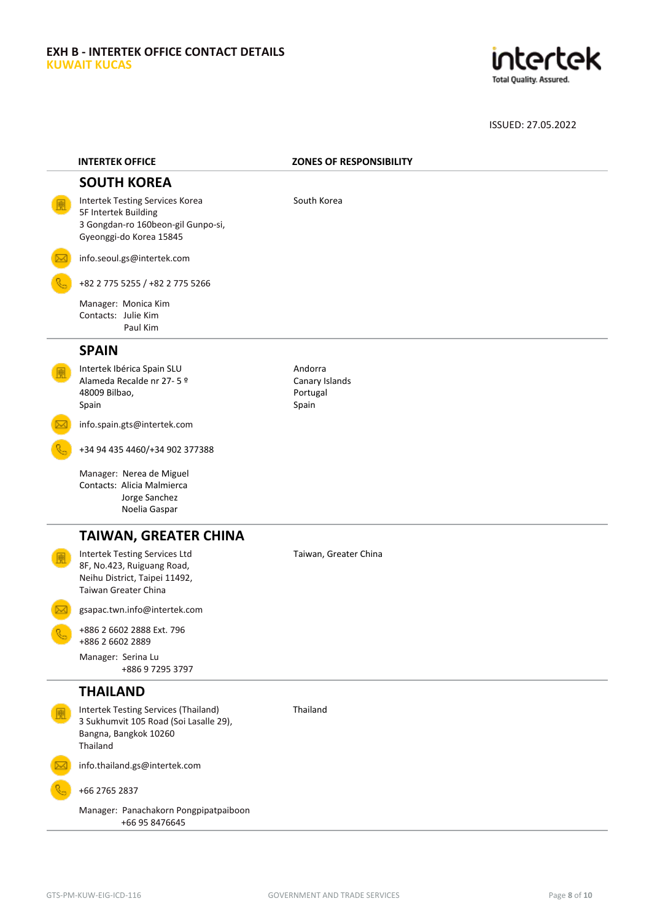

| <b>INTERTEK OFFICE</b>                                                                                                      | <b>ZONES OF RESPONSIBILITY</b>                 |
|-----------------------------------------------------------------------------------------------------------------------------|------------------------------------------------|
| <b>SOUTH KOREA</b>                                                                                                          |                                                |
| Intertek Testing Services Korea<br>5F Intertek Building<br>3 Gongdan-ro 160beon-gil Gunpo-si,<br>Gyeonggi-do Korea 15845    | South Korea                                    |
| info.seoul.gs@intertek.com                                                                                                  |                                                |
| +82 2 775 5255 / +82 2 775 5266                                                                                             |                                                |
| Manager: Monica Kim<br>Contacts: Julie Kim<br>Paul Kim                                                                      |                                                |
| <b>SPAIN</b>                                                                                                                |                                                |
| Intertek Ibérica Spain SLU<br>Alameda Recalde nr 27-5 º<br>48009 Bilbao,<br>Spain                                           | Andorra<br>Canary Islands<br>Portugal<br>Spain |
| info.spain.gts@intertek.com                                                                                                 |                                                |
| +34 94 435 4460/+34 902 377388                                                                                              |                                                |
| Manager: Nerea de Miguel<br>Contacts: Alicia Malmierca<br>Jorge Sanchez<br>Noelia Gaspar                                    |                                                |
| <b>TAIWAN, GREATER CHINA</b>                                                                                                |                                                |
| <b>Intertek Testing Services Ltd</b><br>8F, No.423, Ruiguang Road,<br>Neihu District, Taipei 11492,<br>Taiwan Greater China | Taiwan, Greater China                          |
| gsapac.twn.info@intertek.com                                                                                                |                                                |
| +886 2 6602 2888 Ext. 796<br>+886 2 6602 2889                                                                               |                                                |
| Manager: Serina Lu<br>+886 9 7295 3797                                                                                      |                                                |
| <b>THAILAND</b>                                                                                                             |                                                |
| Intertek Testing Services (Thailand)<br>3 Sukhumvit 105 Road (Soi Lasalle 29),<br>Bangna, Bangkok 10260<br>Thailand         | Thailand                                       |
| info.thailand.gs@intertek.com                                                                                               |                                                |
| +66 2765 2837                                                                                                               |                                                |
| Manager: Panachakorn Pongpipatpaiboon<br>+66 95 8476645                                                                     |                                                |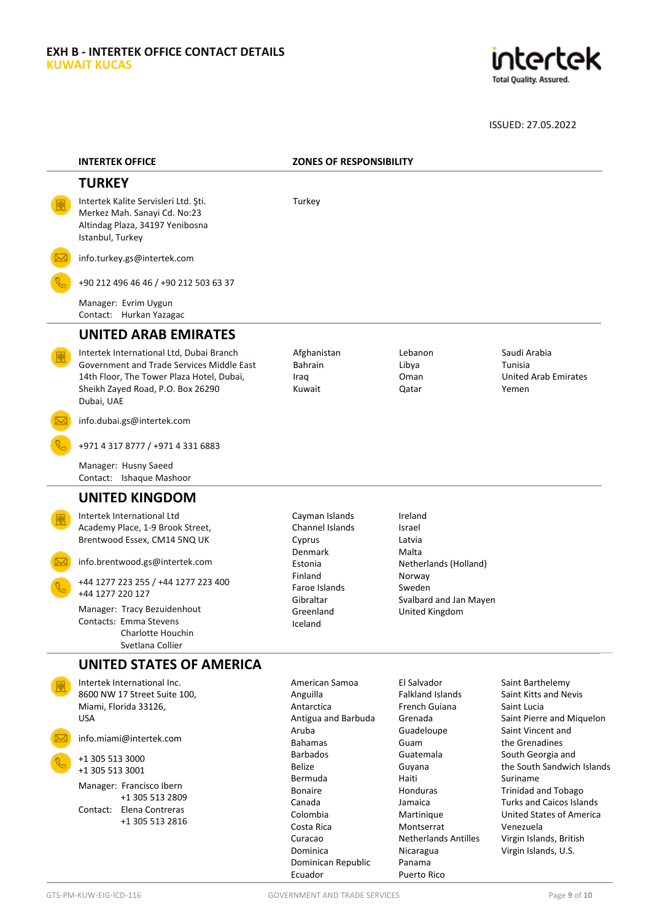

| <b>INTERTEK OFFICE</b>                                                                                                                                                                | <b>ZONES OF RESPONSIBILITY</b>                                           |                                                                                  |                                                                                                                                          |
|---------------------------------------------------------------------------------------------------------------------------------------------------------------------------------------|--------------------------------------------------------------------------|----------------------------------------------------------------------------------|------------------------------------------------------------------------------------------------------------------------------------------|
| <b>TURKEY</b>                                                                                                                                                                         |                                                                          |                                                                                  |                                                                                                                                          |
| Intertek Kalite Servisleri Ltd. Şti.<br>Merkez Mah. Sanayi Cd. No:23<br>Altindag Plaza, 34197 Yenibosna<br>Istanbul, Turkey                                                           | Turkey                                                                   |                                                                                  |                                                                                                                                          |
| info.turkey.gs@intertek.com                                                                                                                                                           |                                                                          |                                                                                  |                                                                                                                                          |
| +90 212 496 46 46 / +90 212 503 63 37                                                                                                                                                 |                                                                          |                                                                                  |                                                                                                                                          |
| Manager: Evrim Uygun<br>Contact: Hurkan Yazagac                                                                                                                                       |                                                                          |                                                                                  |                                                                                                                                          |
| <b>UNITED ARAB EMIRATES</b>                                                                                                                                                           |                                                                          |                                                                                  |                                                                                                                                          |
| Intertek International Ltd, Dubai Branch<br>Government and Trade Services Middle East<br>14th Floor, The Tower Plaza Hotel, Dubai,<br>Sheikh Zayed Road, P.O. Box 26290<br>Dubai, UAE | Afghanistan<br><b>Bahrain</b><br>Iraq<br>Kuwait                          | Lebanon<br>Libya<br>Oman<br>Qatar                                                | Saudi Arabia<br>Tunisia<br><b>United Arab Emirates</b><br>Yemen                                                                          |
| info.dubai.gs@intertek.com                                                                                                                                                            |                                                                          |                                                                                  |                                                                                                                                          |
| +971 4 317 8777 / +971 4 331 6883                                                                                                                                                     |                                                                          |                                                                                  |                                                                                                                                          |
| Manager: Husny Saeed<br>Contact: Ishaque Mashoor                                                                                                                                      |                                                                          |                                                                                  |                                                                                                                                          |
| <b>UNITED KINGDOM</b>                                                                                                                                                                 |                                                                          |                                                                                  |                                                                                                                                          |
| Intertek International Ltd<br>Academy Place, 1-9 Brook Street,<br>Brentwood Essex, CM14 5NQ UK                                                                                        | Cayman Islands<br>Channel Islands<br>Cyprus                              | Ireland<br><b>Israel</b><br>Latvia                                               |                                                                                                                                          |
| info.brentwood.gs@intertek.com                                                                                                                                                        | Denmark<br>Estonia                                                       | Malta<br>Netherlands (Holland)                                                   |                                                                                                                                          |
| +44 1277 223 255 / +44 1277 223 400<br>+44 1277 220 127                                                                                                                               | Finland<br>Faroe Islands                                                 | Norway<br>Sweden                                                                 |                                                                                                                                          |
| Manager: Tracy Bezuidenhout<br>Contacts: Emma Stevens<br>Charlotte Houchin<br>Svetlana Collier                                                                                        | Gibraltar<br>Greenland<br>Iceland                                        | Svalbard and Jan Mayen<br>United Kingdom                                         |                                                                                                                                          |
| <b>UNITED STATES OF AMERICA</b>                                                                                                                                                       |                                                                          |                                                                                  |                                                                                                                                          |
| Intertek International Inc.<br>8600 NW 17 Street Suite 100,<br>Miami, Florida 33126,<br><b>USA</b>                                                                                    | American Samoa<br>Anguilla<br>Antarctica<br>Antigua and Barbuda<br>Aruba | El Salvador<br><b>Falkland Islands</b><br>French Guiana<br>Grenada<br>Guadeloupe | Saint Barthelemy<br>Saint Kitts and Nevis<br>Saint Lucia<br>Saint Pierre and Miquelon<br>Saint Vincent and                               |
| info.miami@intertek.com<br>+1 305 513 3000                                                                                                                                            | <b>Bahamas</b><br><b>Barbados</b>                                        | Guam<br>Guatemala                                                                | the Grenadines<br>South Georgia and                                                                                                      |
| +1 305 513 3001                                                                                                                                                                       | <b>Belize</b><br>Bermuda                                                 | Guyana<br>Haiti                                                                  | the South Sandwich Islands<br>Suriname                                                                                                   |
| Manager: Francisco Ibern<br>+1 305 513 2809<br>Contact: Elena Contreras<br>+1 305 513 2816                                                                                            | <b>Bonaire</b><br>Canada<br>Colombia<br>Costa Rica<br>Curacao            | Honduras<br>Jamaica<br>Martinique<br>Montserrat<br><b>Netherlands Antilles</b>   | <b>Trinidad and Tobago</b><br><b>Turks and Caicos Islands</b><br><b>United States of America</b><br>Venezuela<br>Virgin Islands, British |

Dominican Republic

Nicaragua Panama Puerto Rico

Dominica

Ecuador

Virgin Islands, U.S.